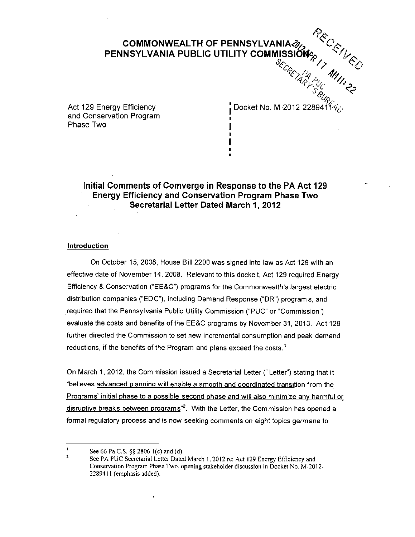# COMMONWEALTH OF PENNSYLVANIA PENNSYLVANIA PUBLIC UTILITY COMMISSIONS  $\gamma$

and Conservation Program , Phase Two |

Act 129 Energy Efficiency . The settle procket No. M-2012-2289411 $\phi_c$ .

 $R_{\mathcal{C}_{\Omega}}$ 

# **Initial Comments of Comverge in Response to the PA Act 129 Energy Efficiency and Conservation Program Phase Two Secretarial Letter Dated March 1, 2012**

**i I** 

### **Introduction**

On October 15, 2008, House Bill 2200 was signed into law as Act 129 with an effective date of November 14, 2008. Relevant to this docket, Act 129 required Energy Efficiency & Conservation ("EE&C") programs for the Commonwealth's largest electric distribution companies ("EDC"), including Demand Response ("DR") programs, and required that the Pennsylvania Public Utility Commission ("PUC" or "Commission") evaluate the costs and benefits of the EE&C programs by November 31, 2013. Act 129 further directed the Commission to set new incremental consumption and peak demand reductions, if the benefits of the Program and plans exceed the costs.<sup>1</sup>

On March 1, 2012, the Com mission issued a Secretarial Letter (" Letter") stating that it "believes advanced planning will enable a smooth and coordinated transition from the Programs' initial phase to a possible second phase and will also minimize any harmful or disruptive breaks between programs"<sup>2</sup>. With the Letter, the Commission has opened a formal regulatory process and is now seeking comments on eight topics germane to

 $\mathbf{I}$ See 66 Pa.C.S. §§ 2806.1(c) and (d).  $\overline{2}$ 

See PA PUC Secretarial Letter Dated March 1, 2012 re: Act 129 Energy Efficiency and Conservation Program Phase Two, opening stakeholder discussion in Docket No. M-2012- 228941 1 (emphasis added).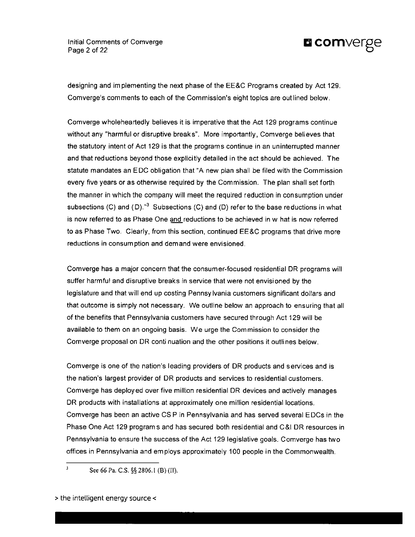Initial Comments of Comverge **D** COMVETE Page 2 of 22  $\hbox{\bf C}$ 



designing and implementing the next phase of the EE&C Programs created by Act 129. Comverge's comments to each of the Commission's eight topics are outlined below.

Comverge wholeheartedly believes it is imperative that the Act 129 programs continue without any "harmful or disruptive breaks". More importantly, Comverge believes that the statutory intent of Act 129 is that the programs continue in an uninterrupted manner and that reductions beyond those explicitly detailed in the act should be achieved. The statute mandates an EDC obligation that "A new plan shall be fifed with the Commission every five years or as otherwise required by the Commission. The plan shall set forth the manner in which the company will meet the required reduction in consumption under subsections (C) and (D)." $^3$  Subsections (C) and (D) refer to the base reductions in what is now referred to as Phase One and reductions to be achieved in w hat is now referred to as Phase Two. Clearly, from this section, continued EE&C programs that drive more reductions in consumption and demand were envisioned.

Comverge has a major concern that the consumer-focused residential DR programs will suffer harmful and disruptive breaks in service that were not envisioned by the legislature and that will end up costing Pennsylvania customers significant dollars and that outcome is simply not necessary. We outline below an approach to ensuring that all of the benefits that Pennsylvania customers have secured through Act 129 will be available to them on an ongoing basis. We urge the Commission to consider the Comverge proposal on DR conti nuation and the other positions it outlines below.

Comverge is one of the nation's leading providers of DR products and services and is the nation's largest provider of DR products and services to residential customers. Comverge has deployed over five million residential DR devices and actively manages DR products with installations at approximately one million residential locations. Comverge has been an active CS P in Pennsylvania and has served several EDCs in the Phase One Act 129 programs and has secured both residential and C&l DR resources in Pennsylvania to ensure the success of the Act 129 legislative goals. Comverge has two offices in Pennsylvania and employs approximately 100 people in the Commonwealth.

<sup>3</sup> See 66 Pa. C.S. §§ 2806.1 (B) (II).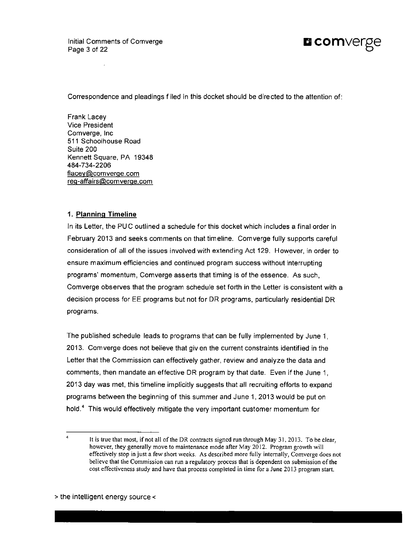Initial Comments of Comverge Initial Comments of Comverge<br>
Page 3 of 22



Correspondence and pleadings f iled in this docket should be directed to the attention of:

Frank Lacey Vice President Comverge, Inc 511 Schoolhouse Road Suite 200 Kennett Square, PA 19348 484-734-2206 flacev@.comverge.com req-affairs@comverqe.com

# **1. Planning Timeline**

In its Letter, the PUC outlined a schedule for this docket which includes a final order in February 2013 and seeks comments on that timeline. Comverge fully supports careful consideration of all of the issues involved with extending Act 129. However, in order to ensure maximum efficiencies and continued program success without interrupting programs' momentum, Comverge asserts that timing is of the essence. As such, Comverge observes that the program schedule set forth in the Letter is consistent with a decision process for EE programs but not for DR programs, particularly residential DR programs.

The published schedule leads to programs that can be fully implemented by June 1, 2013. Comverge does not believe that giv en the current constraints identified in the Letter that the Commission can effectively gather, review and analyze the data and comments, then mandate an effective DR program by that date. Even if the June 1, 2013 day was met, this timeline implicitly suggests that all recruiting efforts to expand programs between the beginning of this summer and June 1, 2013 would be put on hold.<sup>4</sup> This would effectively mitigate the very important customer momentum for

 $\mathbf{A}$ It is true that most, if not all of the DR contracts signed run through May 31, 2013. To be clear, however, they generally move to maintenance mode after May 2012. Program growth will effectively stop in just a few short weeks. As described more fully internally, Comverge does not believe that the Commission can run a regulatory process that is dependent on submission of the cost effectiveness study and have that process completed in time for a June 2013 program start.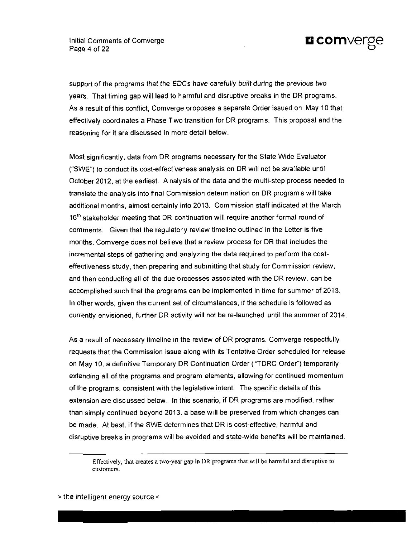

support of the programs that the EDCs have carefully built during the previous two years. That timing gap will lead to harmful and disruptive breaks in the DR programs. As a result of this conflict, Comverge proposes a separate Order issued on May 10 that effectively coordinates a Phase Two transition for DR programs. This proposal and the reasoning for it are discussed in more detail below.

Most significantly, data from DR programs necessary for the State Wide Evaluator ("SWE") to conduct its cost-effectiveness analysis on DR will not be available until October 2012, at the earliest. A nalysis of the data and the multi-step process needed to translate the analysis into final Commission determination on DR programs will take additional months, almost certainly into 2013. Commission staff indicated at the March 16<sup>th</sup> stakeholder meeting that DR continuation will require another formal round of comments. Given that the regulator y review timeline outlined in the Letter is five months, Comverge does not believe that a review process for DR that includes the incremental steps of gathering and analyzing the data required to perform the costeffectiveness study, then preparing and submitting that study for Commission review, and then conducting all of the due processes associated with the DR review, can be accomplished such that the programs can be implemented in time for summer of 2013. In other words, given the current set of circumstances, if the schedule is followed as currently envisioned, further DR activity will not be re-launched until the summer of 2014.

As a result of necessary timeline in the review of DR programs, Comverge respectfully requests that the Commission issue along with its Tentative Order scheduled for release on May 10, a definitive Temporary DR Continuation Order ("TDRC Order") temporarily extending all of the programs and program elements, allowing for continued momentum of the programs, consistent with the legislative intent. The specific details of this extension are discussed below. In this scenario, if DR programs are modified, rather than simply continued beyond 2013, a base will be preserved from which changes can be made. At best, if the SWE determines that DR is cost-effective, harmful and disruptive breaks in programs will be avoided and state-wide benefits will be maintained.

Effectively, that creates a two-year gap in DR programs that will be harmful and disruptive to customers.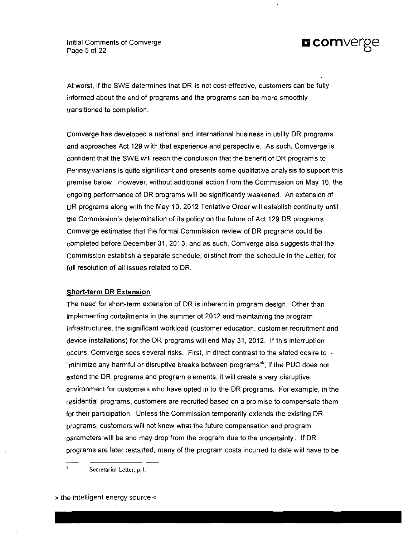Initial Comments of Comverge **Q COMVERPO** Page 5 of 22

At worst, if the SWE determines that DR is not cost-effective, customers can be fully informed about the end of programs and the programs can be more smoothly transitioned to completion.

Comverge has developed a national and international business in utility DR programs and approaches Act 129 w ith that experience and perspectiv e. As such, Comverge is confident that the SWE will reach the conclusion that the benefit of DR program s to pennsylvanians is quite significant and presents some qualitative analysis to support this premise below. However, without additional action from the Commission on May 10, the ongoing performance of DR programs will be significantly weakened. An extension of DR programs along with the May 10, 2012 Tentative Order will establish continuity until the Commission's determination of its policy on the future of Act 129 DR programs. Comverge estimates that the formal Commission review of DR programs could be completed before December 31, 2013, and as such, Comverge also suggests that the Commission establish a separate schedule, distinct from the schedule in the Letter, for full resolution of all issues related to DR.

#### **Short-term DR Extension**

The need for short-term extension of DR is inherent in program design. Other than implementing curtailments in the summer of 2012 and maintaining the program infrastructures, the significant workload {customer education, custom er recruitment and device installations) forthe DR programs will end May 31, 2012. If this interruption occurs, Comverge sees several risks. First, in direct contrast to the stated desire to  $\cdot$ "minimize any harmful or disruptive breaks between programs"<sup>5</sup> , if the PUC does not extend the DR programs and program elements, it will create a very disruptive environment for customers who have opted in to the DR programs. For example, in the residential programs, customers are recruited based on a pro mise to compensate them for their participation. Unless the Commission temporarily extends the existing DR programs, customers will not know what the future compensation and program parameters will be and may drop from the program due to the uncertainty. If DR programs are later restarted, many of the program costs incurred to date will have to be

5

> the intelligent energy source <

Secretarial Letter, p. I.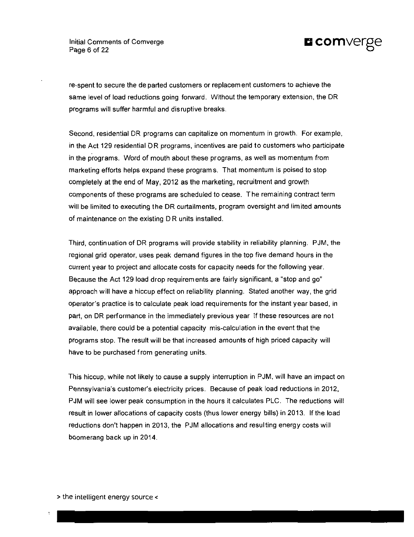

re-spent to secure the de parted customers or replacement customers to achieve the same level of load reductions going forward. Without the temporary extension, the DR programs will suffer harmful and disruptive breaks.

Second, residential DR programs can capitalize on momentum in growth. For example, in the Act 129 residential DR programs, incentives are paid to customers who participate in the programs. Word of mouth about these programs, as well as momentum from marketing efforts helps expand these programs. That momentum is poised to stop completely at the end of May, 2012 as the marketing, recruitment and growth components of these programs are scheduled to cease. The remaining contract term will be limited to executing the DR curtailments, program oversight and limited amounts of maintenance on the existing D R units installed.

Third, continuation of DR programs will provide stability in reliability planning. PJM, the regional grid operator, uses peak demand figures in the top five demand hours in the current year to project and allocate costs for capacity needs for the following year. Because the Act 129 load drop requirements are fairly significant, a "stop and go" approach will have a hiccup effect on reliability planning. Stated another way, the grid operator's practice is to calculate peak load requirements for the instant year based, in part, on DR performance in the immediately previous year If these resources are not available, there could be a potential capacity mis-calculation in the event that the programs stop. The result will be that increased amounts of high priced capacity will have to be purchased from generating units.

This hiccup, while not likely to cause a supply interruption in PJM, will have an impact on Pennsylvania's customer's electricity prices. Because of peak load reductions in 2012, PJM will see lower peak consumption in the hours it calculates PLC. The reductions will result in lower allocations of capacity costs (thus lower energy bills) in 2013. If the load reductions don't happen in 2013, the PJM allocations and resulting energy costs will boomerang back up in 2014.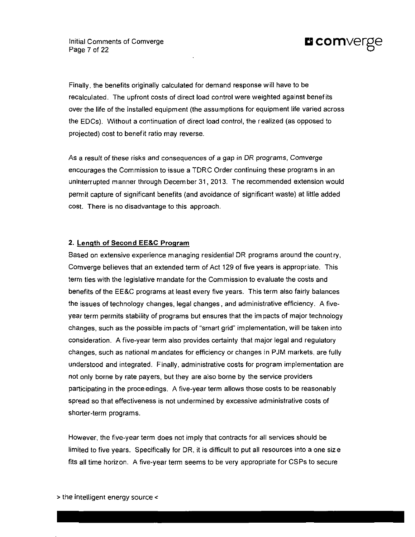

Finally, the benefits originally calculated for demand response will have to be recalculated. The upfront costs of direct load control were weighted against benefits over the life of the installed equipment (the assumptions for equipment life varied across the EDCs). Without a continuation of direct load control, the realized (as opposed to projected) cost to benefit ratio may reverse.

As a result of these risks and consequences of a gap in DR programs, Comverge encourages the Commission to issue a TDRC Order continuing these program s in an uninterrupted manner through December 31, 2013. The recommended extension would permit capture of significant benefits (and avoidance of significant waste) at little added cost. There is no disadvantage to this approach.

#### **2. Length of Second EE&C Proqram**

Baaed on extensive experience managing residential DR programs around the country, Comverge believes that an extended term of Act 129 of five years is appropriate. This term ties with the legislative mandate for the Commission to evaluate the costs and benefits of the EE&C programs at least every five years. This term also fairly balances the issues of technology changes, legal changes, and administrative efficiency. A fiveyear term permits stability of programs but ensures that the im pacts of major technology changes, such as the possible im pacts of "smart grid" implementation, will be taken into consideration. A five-year term also provides certainty that major legal and regulatory changes, such as national mandates for efficiency or changes in PJM markets, are fully understood and integrated. Finally, administrative costs for program implementation are not only borne by rate payers, but they are also borne by the service providers participating in the proceedings. A five-year term allows those costs to be reasonably spread so that effectiveness is not undermined by excessive administrative costs of shorter-term programs.

However, the five-year term does not imply that contracts for all services should be limited to five years. Specifically for DR, it is difficult to put all resources into a one size fits all time horizon. A five-year term seems to be very appropriate for CSPs to secure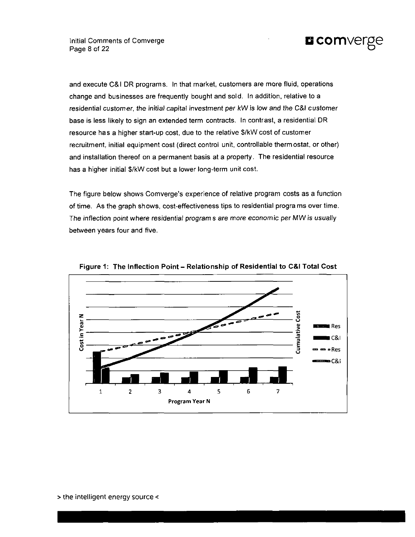

and execute C&l DR programs. In that market, customers are more fluid, operations change and businesses are frequently bought and sold. In addition, relative to a residential customer, the initial capital investment per kW is low and the C&l customer base is less likely to sign an extended term contracts. In contrast, a residential DR resource has a higher start-up cost, due to the relative S/kW cost of customer recruitment, initial equipment cost (direct control unit, controllable thermostat, or other) and installation thereof on a permanent basis at a property. The residential resource has a higher initial S/kW cost but a lower long-term unit cost.

The figure below shows Comverge's experience of relative program costs as a function of time. As the graph shows, cost-effectiveness tips to residential programs overtime. The inflection point where residential program s are more economic per MW is usually between years four and five.



**Figure 1: The Inflection Point- Relationship of Residential to C&l Total Cost**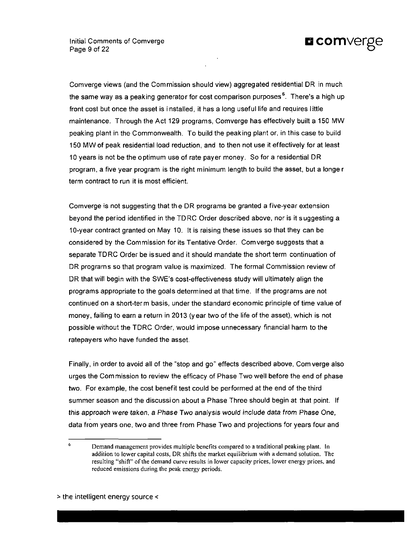

Comverge views (and the Commission should view) aggregated residential DR in much the same way as a peaking generator for cost comparison purposes<sup>s</sup>. There's a high up front cost but once the asset is i nstalled, it has a long useful life and requires little maintenance. Through the Act 129 programs, Comverge has effectively built a 150 MW peaking plant in the Commonwealth. To build the peaking plant or, in this case to build 150 MW of peak residential load reduction, and to then not use it effectively for at least 10 years is not be the optimum use of rate payer money. So for a residential DR program, a five year program is the right minimum length to build the asset, but a longe r term contract to run it is most efficient.

Comverge is not suggesting that the DR programs be granted a five-year extension beyond the period identified in the TDRC Order described above, nor is it suggesting a 10-year contract granted on May 10. It is raising these issues so that they can be considered by the Commission for its Tentative Order. Comverge suggests that a separate TDRC Order be is sued and it should mandate the short term continuation of DR programs so that program value is maximized. The formal Commission review of DR that will begin with the SWE's cost-effectiveness study will ultimately align the programs appropriate to the goals determined at that time. If the programs are not continued on a short-ter m basis, under the standard economic principle of time value of money, failing to earn a return in 2013 (year two of the life of the asset), which is not possible without the TDRC Order, would impose unnecessary financial harm to the ratepayers who have funded the asset.

Finally, in order to avoid all of the "stop and go" effects described above, Comverge also urges the Commission to review the efficacy of Phase Two well before the end of phase two. For example, the cost benefit test could be performed at the end of the third summer season and the discussion about a Phase Three should begin at that point. If this approach were taken, a Phase Two analysis would include data from Phase One, data from years one, two and three from Phase Two and projections for years four and

 $\ddot{\phantom{a}}$ Demand management provides multiple benefits compared to a traditional peaking plant. In addition to lower capital costs, DR shifts the market equilibrium with a demand solution. The resulting "shift" of the demand curve results in lower capacity prices, lower energy prices, and reduced emissions during the peak energy periods.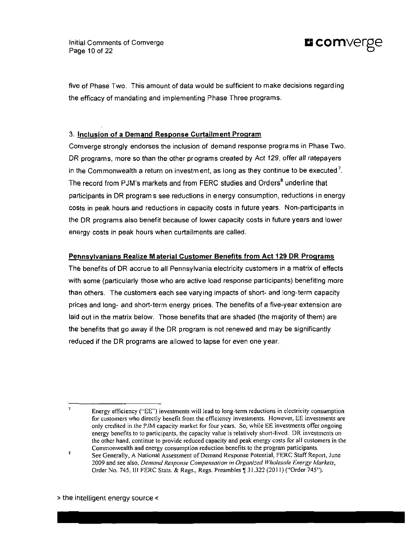Initial Comments of Comverge Initial Comments of Comverge **and COMVerge in the COMVET COM**<br>Page 10 of 22



five of Phase Two. This amount of data would be sufficient to make decisions regard ing the efficacy of mandating and implementing Phase Three programs.

### **3. Inclusion of a Demand Response Curtailment Program**

Comverge strongly endorses the inclusion of demand response programs in Phase Two. DR programs, more so than the other programs created by Act 129, offer all ratepayers in the Commonwealth a return on investment, as long as they continue to be executed  $\ell.$ The record from PJM's markets and from FERC studies and Orders<sup>8</sup> underline that participants in DR programs see reductions in energy consumption, reductions in energy costs in peak hours and reductions in capacity costs in future years. Non-participants in the DR programs also benefit because of lower capacity costs in future years and lower energy costs in peak hours when curtailments are called.

#### **Pennsylvanians Realize Material Customer Benefits from Act 129 DR Programs**

The benefits of DR accrue to all Pennsylvania electricity customers in a matrix of effects with some (particularly those who are active load response participants) benefiting more than others. The customers each see varying impacts of short- and long-term capacity prices and long- and short-term energy prices. The benefits of a five-year extension are laid out in the matrix below. Those benefits that are shaded (the majority of them) are the benefits that go away if the DR program is not renewed and may be significantly reduced if the DR programs are allowed to lapse for even one year.

 $\mathbf{g}$ 

Energy efficiency ("EE") investments will lead to long-term reductions in electricity consumption for customers who directly benefit from the efficiency investments. However, EE investments are only credited in the PJM capacity market for four years. So, while EE investments offer ongoing energy benefits to to participants, the capacity value is relatively short-lived. DR investments on the other hand, continue to provide reduced capacity and peak energy costs for all customers in the Commonwealth and energy consumption reduction benefits to the program participants.

See Generally, A National Assessment of Demand Response Potential, FERC Staff Report, June 2009 and see also. Demand Response Compensation in Organized Wholesale Energy Markets, Order No. 745, III FERC Stats. & Regs., Regs. Preambles | 31,322 (2011) ("Order 745").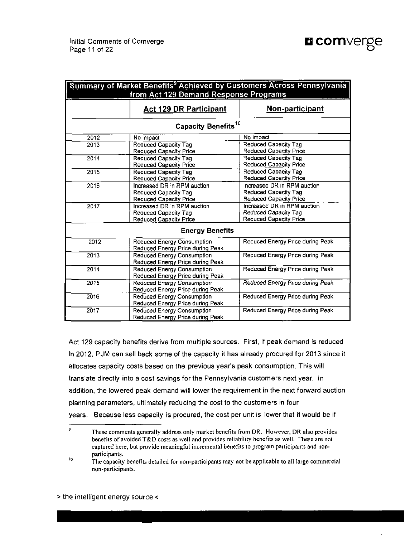|  |  |  |  | <b>E</b> comverge |
|--|--|--|--|-------------------|
|--|--|--|--|-------------------|

| Summary of Market Benefits <sup>9</sup> Achieved by Customers Across Pennsylvania<br>from Act 129 Demand Response Programs |                                                                                             |                                                                                             |  |  |
|----------------------------------------------------------------------------------------------------------------------------|---------------------------------------------------------------------------------------------|---------------------------------------------------------------------------------------------|--|--|
|                                                                                                                            | <b>Act 129 DR Participant</b>                                                               | Non-participant                                                                             |  |  |
|                                                                                                                            | Capacity Benefits <sup>10</sup>                                                             |                                                                                             |  |  |
| 2012                                                                                                                       | No impact                                                                                   | No impact                                                                                   |  |  |
| 2013                                                                                                                       | Reduced Capacity Tag<br>Reduced Capacity Price                                              | <b>Reduced Capacity Tag</b><br>Reduced Capacity Price                                       |  |  |
| 2014                                                                                                                       | Reduced Capacity Tag<br>Reduced Capacity Price                                              | <b>Reduced Capacity Tag</b><br><b>Reduced Capacity Price</b>                                |  |  |
| 2015                                                                                                                       | Reduced Capacity Tag<br><b>Reduced Capacity Price</b>                                       | Reduced Capacity Tag<br>Reduced Capacity Price                                              |  |  |
| 2016                                                                                                                       | Increased DR in RPM auction<br><b>Reduced Capacity Tag</b><br><b>Reduced Capacity Price</b> | Increased DR in RPM auction<br><b>Reduced Capacity Tag</b><br><b>Reduced Capacity Price</b> |  |  |
| 2017                                                                                                                       | Increased DR in RPM auction<br>Reduced Capacity Tag<br>Reduced Capacity Price               | Increased DR in RPM auction<br>Reduced Capacity Tag<br>Reduced Capacity Price               |  |  |
|                                                                                                                            | <b>Energy Benefits</b>                                                                      |                                                                                             |  |  |
| 2012                                                                                                                       | <b>Reduced Energy Consumption</b><br>Reduced Energy Price during Peak                       | Reduced Energy Price during Peak                                                            |  |  |
| 2013                                                                                                                       | <b>Reduced Energy Consumption</b><br>Reduced Energy Price during Peak                       | Reduced Energy Price during Peak                                                            |  |  |
| 2014                                                                                                                       | <b>Reduced Energy Consumption</b><br>Reduced Energy Price during Peak                       | Reduced Energy Price during Peak                                                            |  |  |
| 2015                                                                                                                       | <b>Reduced Energy Consumption</b><br>Reduced Energy Price during Peak                       | <b>Reduced Energy Price during Peak</b>                                                     |  |  |
| 2016                                                                                                                       | <b>Reduced Energy Consumption</b><br>Reduced Energy Price during Peak                       | Reduced Energy Price during Peak                                                            |  |  |
| 2017                                                                                                                       | <b>Reduced Energy Consumption</b><br>Reduced Energy Price during Peak                       | Reduced Energy Price during Peak                                                            |  |  |

Act 129 capacity benefits derive from multiple sources. First, if peak demand is reduced in 2012, PJM can sell back some of the capacity it has already procured for 2013 since it allocates capacity costs based on the previous year's peak consumption. This will translate directly into a cost savings for the Pennsylvania customers next year. In addition, the lowered peak demand will lower the requirement in the next forward auction planning parameters, ultimately reducing the cost to the customers in four years. Because less capacity is procured, the cost per unit is lower that it would be if

<sup>9</sup> These comments generally address only market benefits from DR. However, DR also provides benefits of avoided T&D costs as well and provides reliability benefits as well. These are not captured here, but provide meaningful incremental benefits to program participants and nonparticipants.

 $10$ The capacity benefits detailed for non-participants may not be applicable to all large commercial non-participants.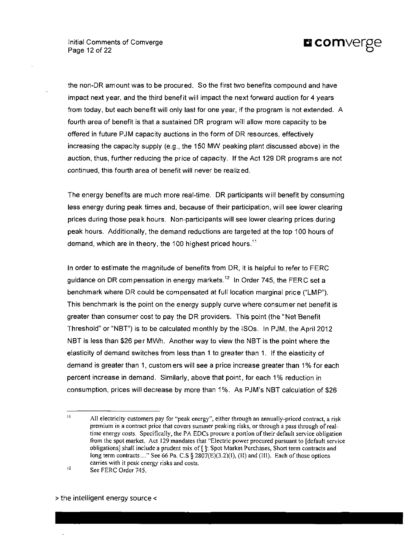**Initial Comments of Comverge COMVETEE** Page 12 of 22



the non-DR amount was to be procured. So the first two benefits compound and have impact next year, and the third benefit will impact the next forward auction for 4 years from today, but each benefit will only last for one year, if the program is not extended. A fourth area of benefit is that a sustained DR program will allow more capacity to be offered in future PJM capacity auctions in the form of DR resources, effectively increasing the capacity supply (e.g., the 150 MW peaking plant discussed above) in the auction, thus, further reducing the price of capacity. If the Act 129 DR programs are not continued, this fourth area of benefit will never be realized.

The energy benefits are much more real-time. DR participants will benefit by consuming less energy during peak times and, because of their participation, will see lower clearing prices during those pea k hours. Non-participants will see lower clearing prices during peak hours. Additionally, the demand reductions are targeted at the top 100 hours of demand, which are in theory, the 100 highest priced hours.<sup>11</sup>

In order to estimate the magnitude of benefits from DR, it is helpful to refer to FERC guidance on DR compensation in energy markets.'<sup>∠</sup> In Order 745, the FERC set a benchmark where DR could be compensated at full location marginal price ("LMP"). This benchmark is the point on the energy supply curve where consumer net benefit is greater than consumer cost to pay the DR providers. This point (the "Net Benefit Threshold" or "NBT") is to be calculated monthly by the ISOs. In PJM, the April 2012 NBT is less than \$26 per MWh. Another way to view the NBT is the point where the elasticity of demand switches from less than 1 to greater than 1. If the elasticity of demand is greater than 1, custom ers will see a price increase greater than 1 % for each percent increase in demand. Similarly, above that point, for each 1% reduction in consumption, prices will decrease by more than 1%. As PJM's NBT calculation of \$26

 $\bar{1}1$ All electricity customers pay for "peak energy", either through an annually-priced contract, a risk premium in a contract price that covers summer peaking risks, or through a pass through of realtime energy costs. Specifically, the PA EDCs procure a portion of their default service obligation from the spot market. Act 129 mandates that "Electric power procured pursuant to [default service obligations] shall include a prudent mix of [ ]: Spot Market Purchases, Short term contracts and long term contracts..." See 66 Pa. C.S § 2807(E)(3.2)(I), (II) and (III). Each of those options carries with it peak energy risks and costs.  $12$ 

See FERC Order 745.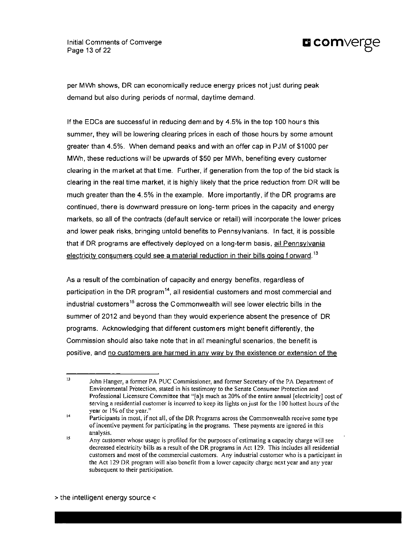Initial Comments of Comverge **Q COMVEFEE** Page 13 of 22



per MWh shows, DR can economicaliy reduce energy prices not just during peak demand but also during periods of normal, daytime demand.

If the EDCs are successful in reducing demand by 4.5% in the top 100 hours this summer, they will be lowering clearing prices in each of those hours by some amount greater than 4.5%. When demand peaks and with an offer cap in PJM of \$1000 per MWh, these reductions will be upwards of \$50 per MWh, benefiting every customer clearing in the market at that time. Further, if generation from the top of the bid stack is clearing in the real time market, it is highly likely that the price reduction from DR will be much greater than the 4.5% in the example. More importantly, if the DR programs are continued, there is downward pressure on long-term prices in the capacity and energy markets, so all of the contracts {default service or retail) will incorporate the lower prices and lower peak risks, bringing untold benefits to Pennsylvanians. In fact, it is possible that if DR programs are effectively deployed on a long-term basis, all Pennsylvania electricity consumers could see a material reduction in their bills going  $f$  orward.<sup>13</sup>

As a result of the combination of capacity and energy benefits, regardless of participation in the DR program'", all residential customers and most commercial and industrial customers'<sup>s</sup> across the Commonwealth will see lower electric bills in the summer of 2012 and beyond than they would experience absent the presence of DR programs. Acknowledging that different customers might benefit differently, the Commission should also take note that in all meaningful scenarios, the benefit is positive, and no customers are harmed in any way by the existence or extension of the

 $13$ John Hanger, a former PA PUC Commissioner, and former Secretary of the PA Department of Environmental Protection, stated in his testimony to the Senate Consumer Protection and Professional Licensure Committee that "[ajs much as 20% of the entire annual [electricity] cost of serving a residential customer is incurred to keep its lights on just for the 100 hottest hours of the year or 1% of the year."

 $\overline{14}$ Participants in most, if not all, of the DR Programs across the Commonwealth receive some type of incentive payment for participating in the programs. These payments are ignored in this analysis.

 $15$ Any customer whose usage is profiled for the purposes of estimating a capacity charge will see decreased electricity bills as a result of the DR programs in Act 129. This includes all residential customers and most of the commercial customers. Any industrial customer who is a participant in the Act 129 DR program will also benefit from a lower capacity charge next year and any year subsequent to their participation.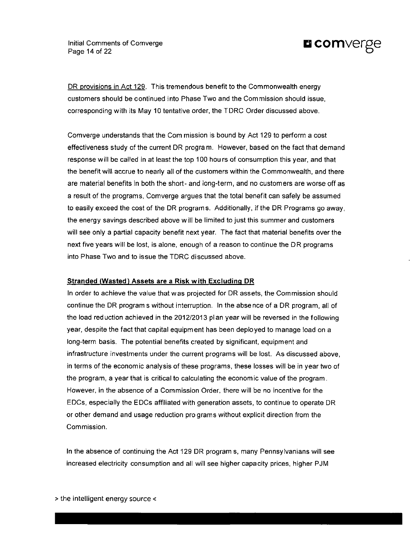**Initial Comments of Comverge COMVETEE** Page 14 of 22



DR provisions in Act 129. This tremendous benefit to the Commonwealth energy customers should be continued into Phase Two and the Commission should issue, corresponding with its May 10 tentative order, the TDRC Order discussed above.

Comverge understands that the Com mission is bound by Act 129 to perform a cost effectiveness study of the current DR program. However, based on the fact that demand response will be called in at least the top 100 hou rs of consumption this year, and that the benefit will accrue to nearly all of the customers within the Commonwealth, and there are material benefits in both the short- and long-term, and no customers are worse off as a result of the programs, Comverge argues that the total benefit can safely be assumed to easily exceed the cost of the DR programs. Additionally, if the DR Programs go away, the energy savings described above will be limited to just this summer and customers will see only a partial capacity benefit next year. The fact that material benefits over the next five years will be lost, is alone, enough of a reason to continue the DR programs into Phase Two and to issue the TDRC discussed above.

#### **Stranded (Wasted) Assets are a Risk with Excluding DR**

In order to achieve the value that was projected for DR assets, the Commission should continue the DR program s without interruption. In the absence of a DR program, all of the load reduction achieved in the 2012/2013 plan year will be reversed in the following year, despite the fact that capital equipment has been deployed to manage load on a long-term basis. The potential benefits created by significant, equipment and infrastructure investments under the current programs will be lost. As discussed above, in terms of the economic analysis of these programs, these losses will be in year two of the program, a year that is critical to calculating the econom ic value of the program. However, in the absence of a Commission Order, there will be no incentive for the EDCs, especially the EDCs affiliated with generation assets, to continue to operate DR or other demand and usage reduction pro grams without explicit direction from the Commission.

In the absence of continuing the Act 129 DR program s, many Pennsylvanians will see increased electricity consumption and all will see higher capacity prices, higher PJM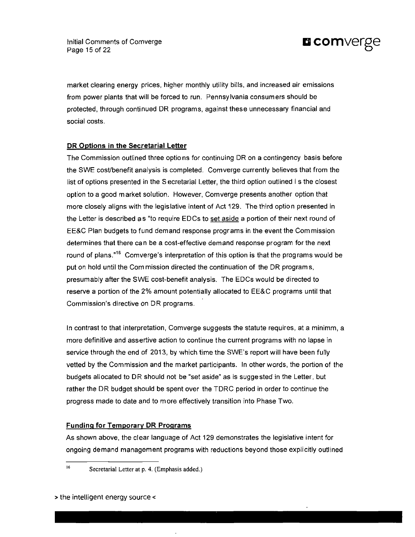

market clearing energy prices, higher monthly utility bills, and increased air emissions from power plants that will be forced to run. Pennsylvania consumers should be protected, through continued DR programs, against these unnecessary financial and social costs.

# **DR Options in the Secretarial Letter**

The Commission outlined three options for continuing DR on a contingency basis before the SWE cost/benefit analysis is completed. Comverge currently believes that from the list of options presented in the S ecretarial Letter, the third option outlined i s the closest option to a good market solution. However, Comverge presents another option that more closely aligns with the legislative intent of Act 129. The third option presented in the Letter is described as "to require EDCs to set aside a portion of their next round of EE&C Plan budgets to fund demand response programs in the event the Com mission determines that there can be a cost-effective demand response program for the next round of plans."<sup>16</sup> Comverge's interpretation of this option is that the programs would be put on hold until the Com mission directed the continuation of the DR program s, presumably after the SWE cost-benefit analysis. The EDCs would be directed to reserve a portion of the 2% amount potentially allocated to EE&C programs until that Commission's directive on DR programs.

In contrast to that interpretation, Comverge suggests the statute requires, at a minimm, a more definitive and assertive action to continue the current programs with no lapse in service through the end of 2013, by which time the SWE's report will have been fully vetted by the Commission and the market participants. In other words, the portion of the budgets allocated to DR should not be "set aside" as is suggested in the Letter, but rather the DR budget should be spent over the TDRC period in order to continue the progress made to date and to more effectively transition into Phase Two.

#### **Funding for Temporary DR Programs**

As shown above, the clear language of Act 129 demonstrates the legislative intent for ongoing demand management programs with reductions beyond those explicitly outlined

16

Secretarial Letter at p. 4. (Emphasis added.)

> the intelligent energy source <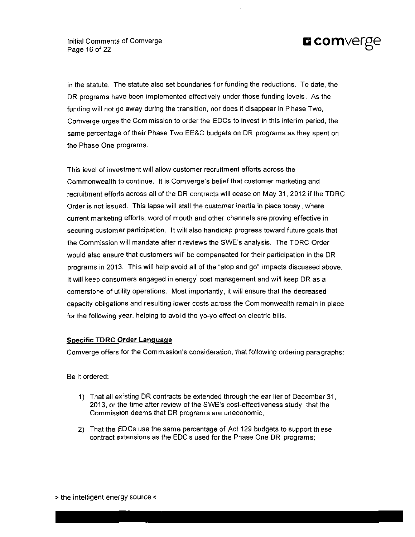

in the statute. The statute also set boundaries for funding the reductions. To date, the DR programs have been implemented effectively under those funding levels. As the funding will not go away during the transition, nor does it disappear in Phase Two, Comverge urges the Com mission to order the EDCs to invest in this interim period, the same percentage of their Phase Two EE&C budgets on DR programs as they spent on the Phase One programs.

This level of investment will allow customer recruitment efforts across the Commonwealth to continue. It is Comverge's belief that customer marketing and recruitment efforts across all of the DR contracts will cease on May 31, 2012 if the TDRC Order is not issued. This lapse will stall the customer inertia in place today, where current marketing efforts, word of mouth and other channels are proving effective in securing customer participation. It will also handicap progress toward future goals that the Commission will mandate after it reviews the SWE's analysis. The TDRC Order would also ensure that customers will be compensated for their participation in the DR programs in 2013. This will help avoid all of the "stop and go" impacts discussed above. It will keep consumers engaged in energy cost management and will keep DR as a cornerstone of utility operations. Most importantly, it will ensure that the decreased capacity obligations and resulting lower costs across the Commonwealth remain in place for the following year, helping to avoi d the yo-yo effect on electric bills.

#### **Specific TDRC Order Language**

Comverge offers for the Commission's consideration, that following ordering para graphs:

Be it ordered:

- 1) That all existing DR contracts be extended through the ear lier of December 31, 2013, or the time after review of the SWE's cost-effectiveness study, that the Commission deems that DR programs are uneconomic;
- 2) That the EDCs use the same percentage of Act 129 budgets to support th ese contract extensions as the EDC s used for the Phase One DR programs;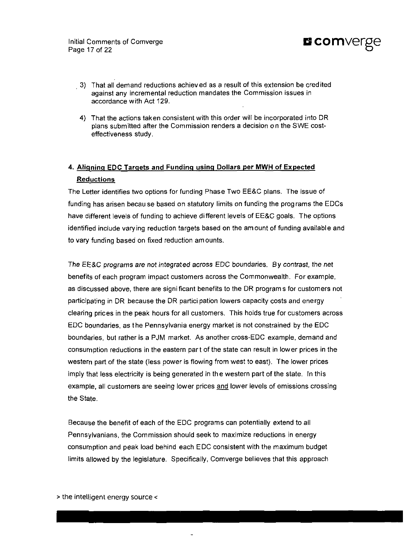Initial Comments of Comverge Initial Comments of Comverge **company of Company of Company of Company of Company of Company of Company of Company of Company of Company of Company of Company of Company of Company of Company of Company of Company of Compa** 



- 3) That all demand reductions achieved as a result of this extension be credited against any incremental reduction mandates the Commission issues in accordance with Act 129.
- 4) That the actions taken consistent with this order will be incorporated into DR plans submitted after the Commission renders a decision on the SWE costeffectiveness study.

# **4. Aligning EDC Targets and Funding using Dollars per MWH of Expected Reductions**

The Letter identifies two options for funding Phase Two EE&C plans. The issue of funding has arisen becau se based on statutory limits on funding the prog rams the EDCs have different levels of funding to achieve different levels of EE&C goals. The options identified include varying reduction targets based on the amount of funding available and to vary funding based on fixed reduction amounts.

The EE&C programs are not integrated across EDC boundaries. By contrast, the net benefits of each program impact customers across the Commonwealth. For example, as discussed above, there are signi ficant benefits to the DR program s for customers not participating in DR because the DR partici pation lowers capacity costs and energy clearing prices in the peak hours for all customers. This holds true for customers across EDC boundaries, as the Pennsylvania energy market is not constrained by the EDC boundaries, but rather is a PJM market. As another cross-EDC example, demand and consumption reductions in the eastern part of the state can result in lower prices in the western part of the state (less power is flowing from west to east). The lower prices imply that less electricity is being generated in the western part of the state. In this example, all customers are seeing lower prices and lower levels of emissions crossing the State.

Because the benefit of each of the EDC programs can potentially extend to all Pennsylvanians, the Commission should seek to maximize reductions in energy consumption and peak load behind each EDC consistent with the maximum budget limits allowed by the legislature. Specifically, Comverge believes that this approach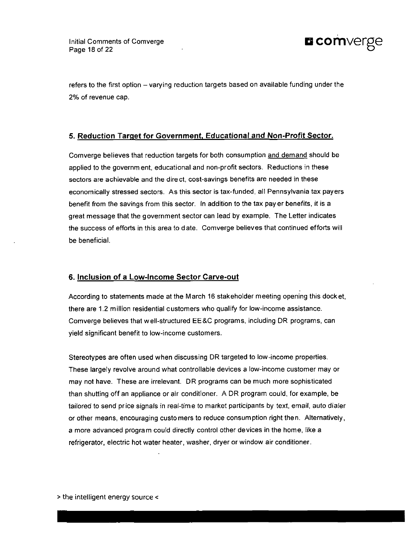

refers to the first option – varying reduction targets based on available funding under the 2% of revenue cap.

# **5. Reduction Target for Government. Educational and Non-Profit Sector.**

Comverge believes that reduction targets for both consumption and demand should be applied to the government, educational and non-profit sectors. Reductions in these sectors are achievable and the direct, cost-savings benefits are needed in these economically stressed sectors. As this sector is tax-funded, all Pennsylvania tax payers benefit from the savings from this sector. In addition to the tax pay er benefits, it is a great message that the government sector can lead by example. The Letter indicates the success of efforts in this area to date. Comverge believes that continued efforts will be beneficial.

# **6. Inclusion of a Low-Income Sector Carve-out**

According to statements made at the March 16 stakeholder meeting opening this docket, there are 1.2 million residential customers who qualify for low-income assistance. Comverge believes that well-structured EE&C programs, including DR programs, can yield significant benefit to low-income customers.

Stereotypes are often used when discussing DR targeted to low-income properties. These largely revolve around what controllable devices a low-income customer may or may not have. These are irrelevant. DR programs can be much more sophisticated than shutting off an appliance or air conditioner. A DR program could, for example, be tailored to send price signals in real-time to market participants by text, email, auto dialer or other means, encouraging customers to reduce consumption right then. Alternatively, a more advanced program could directly control other devices in the home, like a refrigerator, electric hot water heater, washer, dryer or window air conditioner.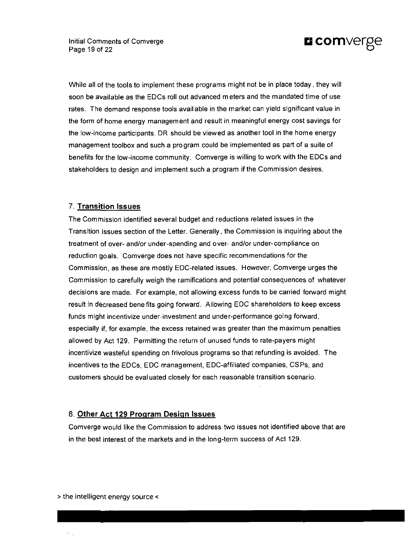Initial Comments of Comverge lnitial Comments of Comverge<br>
Page 19 of 22



While all of the tools to implement these programs might not be in place today, they will soon be available as the EDCs roll out advanced meters and the mandated time of use rates. The demand response tools available in the market can yield significant value in the form of home energy management and result in meaningful energy cost savings for the low-income participants. DR should be viewed as another tool in the home energy management toolbox and such a program could be implemented as part of a suite of benefits for the low-income community. Comverge is willing to work with the EDCs and stakeholders to design and implement such a program if the Commission desires.

#### **7. Transition Issues**

The Commission identified several budget and reductions related issues in the Transition Issues section of the Letter. Generally, the Commission is inquiring about the treatment of over- and/or under-spending and over- and/or under-compliance on reduction goals. Comverge does not have specific recommendations for the Commission, as these are mostly EDC-related issues. However, Comverge urges the Commission to carefully weigh the ramifications and potential consequences of whatever decisions are made. For example, not allowing excess funds to be carried forward might result in decreased benefits going forward. Allowing EDC shareholders to keep excess funds might incentivize under-investment and under-performance going forward, especially if, for example, the excess retained was greater than the maximum penalties allowed by Act 129. Permitting the return of unused funds to rate-payers might incentivize wasteful spending on frivolous programs so that refunding is avoided. The incentives to the EDCs, EDC management, EDC-affiliated companies, CSPs , and customers should be evaluated closely for each reasonable transition scenario.

#### **8. Other Act 129 Program Design Issues**

Comverge would like the Commission to address two issues not identified above that are in the best interest of the markets and in the long-term success of Act 129.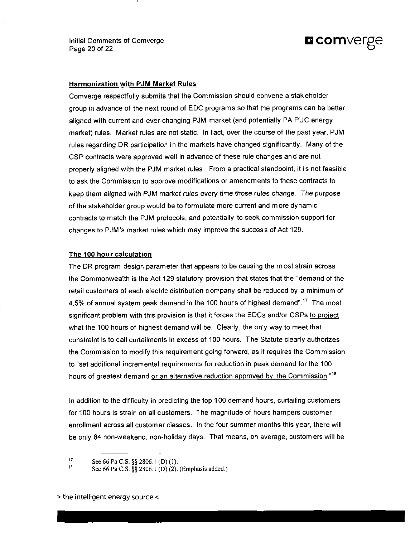Initial Comments of Comverge **Q COMVETCE** Page 20 of 22



#### **Harmonization with PJM Market Rules**

Comverge respectfully submits that the Commission should convene a stakeholder group in advance of the next round of EDC programs so that the programs can be better aligned with current and ever-changing PJM market (and potentially PA PUC energy market) rules. Market rules are not static. In fact, over the course of the past year, PJM rules regarding DR participation in the markets have changed significantly. Many of the C SP contracts were approved well in advance of these rule changes and are not properly aligned with the PJM market rules. From a practical standpoint, it is not feasible to ask the Commission to approve modifications or amendments to these contracts to keep them aligned with PJM market rules every time those rules change. The purpose of the stakeholder group would be to formulate more current and more dynamic contracts to match the PJM protocols, and potentially to seek commission support for changes to PJM's market rules which may improve the success of Act 129.

#### **The 100 hour calculation**

The DR program design parameter that appears to be causing the m ost strain across the Commonwealth is the Act 129 statutory provision that states that the "demand of the retail customers of each electric distribution company shall be reduced by a minimum of 4.5% of annual system peak demand in the 100 hours of highest demand".<sup>17</sup> The most significant problem with this provision is that it forces the EDCs and/or CSPs to project what the 100 hours of highest demand will be. Clearly, the oniy way to meet that constraint is to call curtailments in excess of 100 hours. The Statute clearly authorizes the Commission to modify this requirement going forward, as it requires the Com mission to "set additional incremental requirements for reduction in peak demand for the 100 hours of greatest demand or an alternative reduction approved by the Commission."<sup>18</sup>

In addition to the difficulty in predicting the top 100 demand hours, curtailing customers for 100 hours is strain on all customers. The magnitude of hours hampers customer enrollment across all customer classes. In the four summer months this year, there will be only 84 non-weekend, non-holiday days. That means, on average, customers will be

 $17$ See 66 Pa C.S. §§ 2806.1 (D)(1).

<sup>18</sup> See 66 Pa C.S. §§ 2806.1 (D) (2). (Emphasis added.)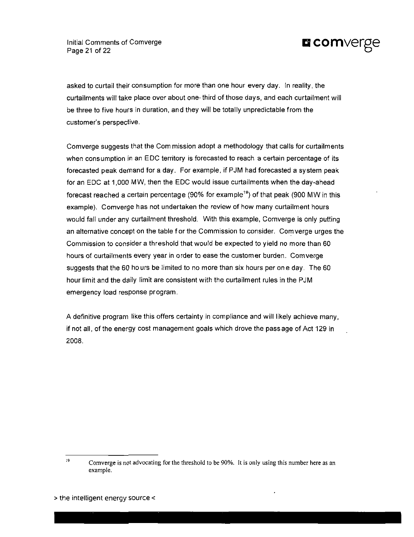

asked to curtail their consumption for more than one hour every day. In reality, the curtailments will take place over about one- third of those days, and each curtailment will be three to five hours in duration, and they will be totally unpredictable from the customer's perspective.

Comverge suggests that the Com mission adopt a methodology that calls for curtailments when consumption in an EDC territory is forecasted to reach a certain percentage of its forecasted peak demand for a day. For example, if PJM had forecasted a system peak for an EDC at 1,000 MW, then the EDC would issue curtailments when the day-ahead forecast reached a certain percentage (90% for example<sup>19</sup>) of that peak (900 MW in this example). Comverge has not undertaken the review of how many curtailment hours would fall under any curtailment threshold. With this example, Comverge is only putting an alternative concept on the table f or the Commission to consider. Com verge urges the Commission to consider a threshold that would be expected to yield no more than 60 hours of curtailments every year in order to ease the customer burden. Comverge suggests that the 60 ho urs be limited to no more than six hours per on e day. The 60 hour limit and the daily limit are consistent with the curtailment rules in the PJM emergency load response program.

A definitive program like this offers certainty in compliance and will likely achieve many, if not all, of the energy cost management goals which drove the passage of Act 129 in 2008.

<sup>19</sup> 

Comverge is not advocating for the threshold to be 90%. It is only using this number here as an example.